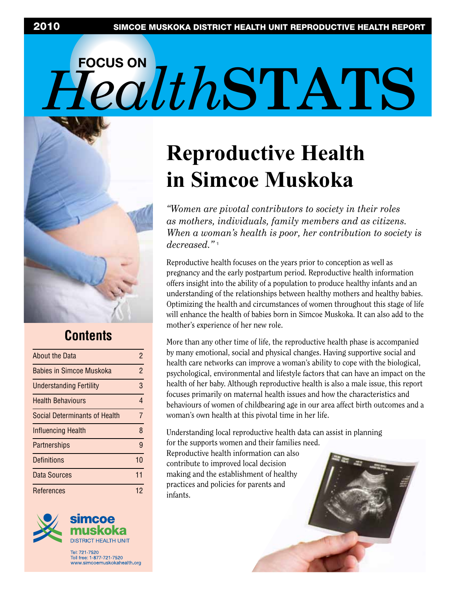# **FOCUS ON**   $FedthSTATS$



### **Contents**

| About the Data                       | 2  |
|--------------------------------------|----|
| Babies in Simcoe Muskoka             | 2  |
| <b>Understanding Fertility</b>       | 3  |
| <b>Health Behaviours</b>             | 4  |
| <b>Social Determinants of Health</b> | 7  |
| Influencing Health                   | 8  |
| Partnerships                         | 9  |
| Definitions                          | 10 |
| Data Sources                         | 11 |
| References                           | 12 |
|                                      |    |



Toll free: 1-877-721-7520 www.simcoemuskokahealth.org

# **Reproductive Health in Simcoe Muskoka**

*"Women are pivotal contributors to society in their roles as mothers, individuals, family members and as citizens. When a woman's health is poor, her contribution to society is decreased."* <sup>1</sup> 

Reproductive health focuses on the years prior to conception as well as pregnancy and the early postpartum period. Reproductive health information offers insight into the ability of a population to produce healthy infants and an understanding of the relationships between healthy mothers and healthy babies. Optimizing the health and circumstances of women throughout this stage of life will enhance the health of babies born in Simcoe Muskoka. It can also add to the mother's experience of her new role.

More than any other time of life, the reproductive health phase is accompanied by many emotional, social and physical changes. Having supportive social and health care networks can improve a woman's ability to cope with the biological, psychological, environmental and lifestyle factors that can have an impact on the health of her baby. Although reproductive health is also a male issue, this report focuses primarily on maternal health issues and how the characteristics and behaviours of women of childbearing age in our area affect birth outcomes and a woman's own health at this pivotal time in her life.

Understanding local reproductive health data can assist in planning for the supports women and their families need. Reproductive health information can also contribute to improved local decision making and the establishment of healthy practices and policies for parents and infants.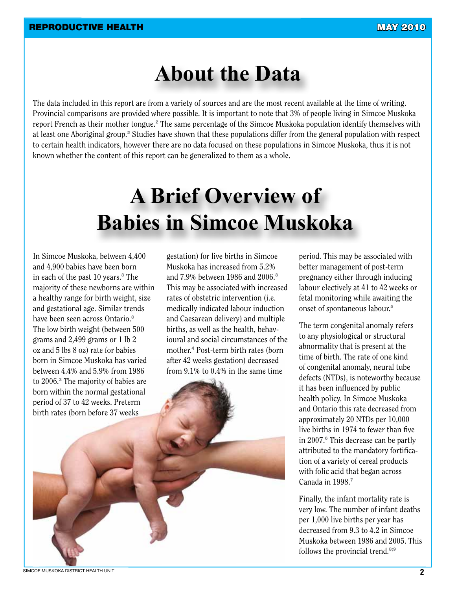### **About the Data**

The data included in this report are from a variety of sources and are the most recent available at the time of writing. Provincial comparisons are provided where possible. It is important to note that 3% of people living in Simcoe Muskoka report French as their mother tongue.<sup>2</sup> The same percentage of the Simcoe Muskoka population identify themselves with at least one Aboriginal group.<sup>2</sup> Studies have shown that these populations differ from the general population with respect to certain health indicators, however there are no data focused on these populations in Simcoe Muskoka, thus it is not known whether the content of this report can be generalized to them as a whole.

# **A Brief Overview of Babies in Simcoe Muskoka**

In Simcoe Muskoka, between 4,400 and 4,900 babies have been born in each of the past 10 years.<sup>3</sup> The majority of these newborns are within a healthy range for birth weight, size and gestational age. Similar trends have been seen across Ontario.<sup>3</sup> The low birth weight (between 500 grams and 2,499 grams or 1 lb 2 oz and 5 lbs 8 oz) rate for babies born in Simcoe Muskoka has varied between 4.4% and 5.9% from 1986 to 2006.<sup>3</sup> The majority of babies are born within the normal gestational period of 37 to 42 weeks. Preterm birth rates (born before 37 weeks

gestation) for live births in Simcoe Muskoka has increased from 5.2% and 7.9% between 1986 and 2006.<sup>3</sup> This may be associated with increased rates of obstetric intervention (i.e. medically indicated labour induction and Caesarean delivery) and multiple births, as well as the health, behavioural and social circumstances of the mother.<sup>4</sup> Post-term birth rates (born after 42 weeks gestation) decreased from 9.1% to 0.4% in the same time

period. This may be associated with better management of post-term pregnancy either through inducing labour electively at 41 to 42 weeks or fetal monitoring while awaiting the onset of spontaneous labour.<sup>5</sup>

The term congenital anomaly refers to any physiological or structural abnormality that is present at the time of birth. The rate of one kind of congenital anomaly, neural tube defects (NTDs), is noteworthy because it has been influenced by public health policy. In Simcoe Muskoka and Ontario this rate decreased from approximately 20 NTDs per 10,000 live births in 1974 to fewer than five in 2007.<sup>6</sup> This decrease can be partly attributed to the mandatory fortification of a variety of cereal products with folic acid that began across Canada in 1998.<sup>7</sup>

Finally, the infant mortality rate is very low. The number of infant deaths per 1,000 live births per year has decreased from 9.3 to 4.2 in Simcoe Muskoka between 1986 and 2005. This follows the provincial trend.8;9

SIMCOE MUSKOKA DISTRICT HEALTH UNIT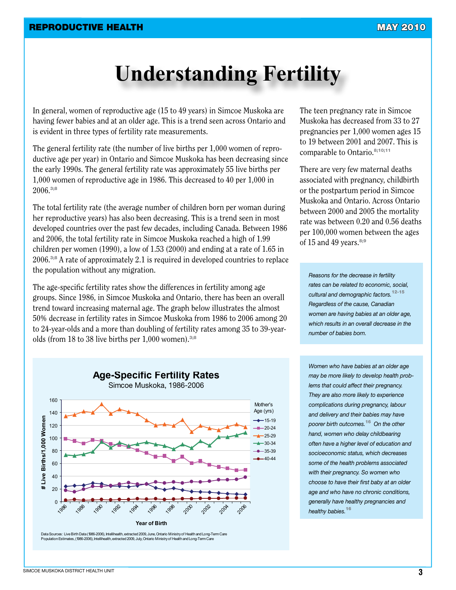## **Understanding Fertility**

In general, women of reproductive age (15 to 49 years) in Simcoe Muskoka are having fewer babies and at an older age. This is a trend seen across Ontario and is evident in three types of fertility rate measurements.

The general fertility rate (the number of live births per 1,000 women of reproductive age per year) in Ontario and Simcoe Muskoka has been decreasing since the early 1990s. The general fertility rate was approximately 55 live births per 1,000 women of reproductive age in 1986. This decreased to 40 per 1,000 in 2006.3;8

The total fertility rate (the average number of children born per woman during her reproductive years) has also been decreasing. This is a trend seen in most developed countries over the past few decades, including Canada. Between 1986 and 2006, the total fertility rate in Simcoe Muskoka reached a high of 1.99 children per women (1990), a low of 1.53 (2000) and ending at a rate of 1.65 in 2006.3;8 A rate of approximately 2.1 is required in developed countries to replace the population without any migration.

The age-specific fertility rates show the differences in fertility among age groups. Since 1986, in Simcoe Muskoka and Ontario, there has been an overall trend toward increasing maternal age. The graph below illustrates the almost 50% decrease in fertility rates in Simcoe Muskoka from 1986 to 2006 among 20 to 24-year-olds and a more than doubling of fertility rates among 35 to 39-yearolds (from 18 to 38 live births per  $1,000$  women).<sup>3;8</sup>

The teen pregnancy rate in Simcoe Muskoka has decreased from 33 to 27 pregnancies per 1,000 women ages 15 to 19 between 2001 and 2007. This is comparable to Ontario.<sup>8;10;11</sup>

There are very few maternal deaths associated with pregnancy, childbirth or the postpartum period in Simcoe Muskoka and Ontario. Across Ontario between 2000 and 2005 the mortality rate was between 0.20 and 0.56 deaths per 100,000 women between the ages of 15 and 49 years. $8;9$ 

*Reasons for the decrease in fertility rates can be related to economic, social, cultural and demographic factors.*12-15 *Regardless of the cause, Canadian women are having babies at an older age, which results in an overall decrease in the number of babies born.* 

*Women who have babies at an older age may be more likely to develop health problems that could affect their pregnancy. They are also more likely to experience complications during pregnancy, labour and delivery and their babies may have poorer birth outcomes.*16 *On the other hand, women who delay childbearing often have a higher level of education and socioeconomic status, which decreases some of the health problems associated with their pregnancy. So women who choose to have their first baby at an older age and who have no chronic conditions, generally have healthy pregnancies and healthy babies.*<sup>16</sup>

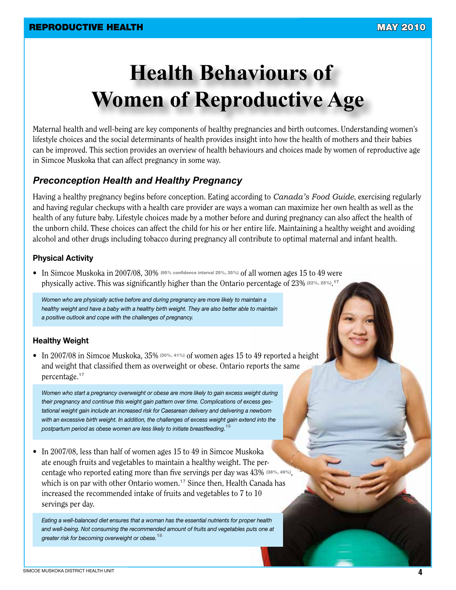# **Health Behaviours of Women of Reproductive Age**

Maternal health and well-being are key components of healthy pregnancies and birth outcomes. Understanding women's lifestyle choices and the social determinants of health provides insight into how the health of mothers and their babies can be improved. This section provides an overview of health behaviours and choices made by women of reproductive age in Simcoe Muskoka that can affect pregnancy in some way.

### *Preconception Health and Healthy Pregnancy*

Having a healthy pregnancy begins before conception. Eating according to *Canada's Food Guide*, exercising regularly and having regular checkups with a health care provider are ways a woman can maximize her own health as well as the health of any future baby. Lifestyle choices made by a mother before and during pregnancy can also affect the health of the unborn child. These choices can affect the child for his or her entire life. Maintaining a healthy weight and avoiding alcohol and other drugs including tobacco during pregnancy all contribute to optimal maternal and infant health.

#### **Physical Activity**

• In Simcoe Muskoka in 2007/08, 30% (95% confidence interval 25%, 35%) of all women ages 15 to 49 were physically active. This was significantly higher than the Ontario percentage of 23% (22%, 25%).<sup>17</sup>

*Women who are physically active before and during pregnancy are more likely to maintain a healthy weight and have a baby with a healthy birth weight. They are also better able to maintain a positive outlook and cope with the challenges of pregnancy.* 

#### **Healthy Weight**

• In 2007/08 in Simcoe Muskoka, 35% (30%, 41%) of women ages 15 to 49 reported a height and weight that classified them as overweight or obese. Ontario reports the same percentage.<sup>17</sup>

*Women who start a pregnancy overweight or obese are more likely to gain excess weight during their pregnancy and continue this weight gain pattern over time. Complications of excess gestational weight gain include an increased risk for Caesarean delivery and delivering a newborn*  with an excessive birth weight. In addition, the challenges of excess weight gain extend into the *postpartum period as obese women are less likely to initiate breastfeeding.*<sup>18</sup>

• In 2007/08, less than half of women ages 15 to 49 in Simcoe Muskoka ate enough fruits and vegetables to maintain a healthy weight. The percentage who reported eating more than five servings per day was 43% (38%, 49%), which is on par with other Ontario women.<sup>17</sup> Since then, Health Canada has increased the recommended intake of fruits and vegetables to 7 to 10 servings per day.

*Eating a well-balanced diet ensures that a woman has the essential nutrients for proper health and well-being. Not consuming the recommended amount of fruits and vegetables puts one at greater risk for becoming overweight or obese.*<sup>18</sup>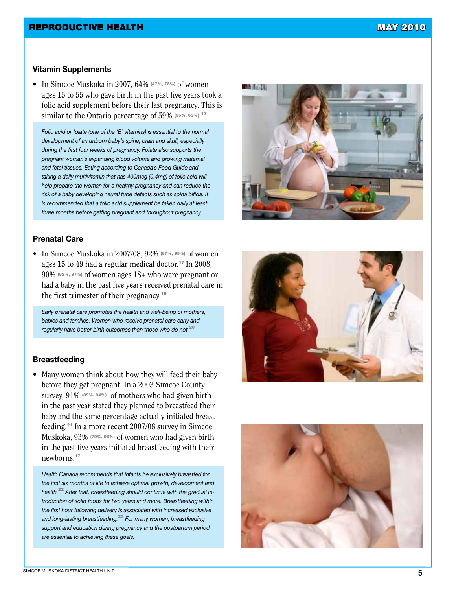#### **Vitamin Supplements**

• In Simcoe Muskoka in 2007, 64% (47%, 78%) of women ages 15 to 55 who gave birth in the past five years took a folic acid supplement before their last pregnancy. This is similar to the Ontario percentage of 59% (55%, 63%).<sup>17</sup>

*Folic acid or folate (one of the 'B' vitamins) is essential to the normal development of an unborn baby's spine, brain and skull, especially during the first four weeks of pregnancy. Folate also supports the pregnant woman's expanding blood volume and growing maternal and fetal tissues. Eating according to Canada's Food Guide and taking a daily multivitamin that has 400mcg (0.4mg) of folic acid will help prepare the woman for a healthy pregnancy and can reduce the risk of a baby developing neural tube defects such as spina bifida. It is recommended that a folic acid supplement be taken daily at least three months before getting pregnant and throughout pregnancy.*

#### **Prenatal Care**

• In Simcoe Muskoka in 2007/08, 92% (87%, 95%) of women ages 15 to 49 had a regular medical doctor.<sup>17</sup> In 2008, 90% (82%, 97%) of women ages 18+ who were pregnant or had a baby in the past five years received prenatal care in the first trimester of their pregnancy.<sup>19</sup>

*Early prenatal care promotes the health and well-being of mothers, babies and families. Women who receive prenatal care early and regularly have better birth outcomes than those who do not.*<sup>20</sup>

#### **Breastfeeding**

• Many women think about how they will feed their baby before they get pregnant. In a 2003 Simcoe County survey, 91% (89%, 94%) of mothers who had given birth in the past year stated they planned to breastfeed their baby and the same percentage actually initiated breastfeeding.<sup>21</sup> In a more recent 2007/08 survey in Simcoe Muskoka, 93% (79%, 98%) of women who had given birth in the past five years initiated breastfeeding with their newborns.<sup>17</sup>

*Health Canada recommends that infants be exclusively breastfed for the first six months of life to achieve optimal growth, development and health.*22 *After that, breastfeeding should continue with the gradual introduction of solid foods for two years and more. Breastfeeding within the first hour following delivery is associated with increased exclusive and long-lasting breastfeeding.*23 *For many women, breastfeeding support and education during pregnancy and the postpartum period are essential to achieving these goals.*





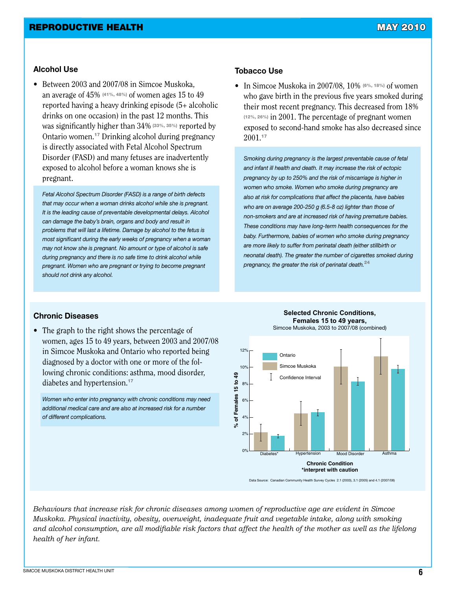#### **Alcohol Use**

• Between 2003 and 2007/08 in Simcoe Muskoka, an average of 45% (41%, 48%) of women ages 15 to 49 reported having a heavy drinking episode (5+ alcoholic drinks on one occasion) in the past 12 months. This was significantly higher than 34% (33%, 35%) reported by Ontario women.<sup>17</sup> Drinking alcohol during pregnancy is directly associated with Fetal Alcohol Spectrum Disorder (FASD) and many fetuses are inadvertently exposed to alcohol before a woman knows she is pregnant.

*Fetal Alcohol Spectrum Disorder (FASD) is a range of birth defects that may occur when a woman drinks alcohol while she is pregnant. It is the leading cause of preventable developmental delays. Alcohol can damage the baby's brain, organs and body and result in problems that will last a lifetime. Damage by alcohol to the fetus is most significant during the early weeks of pregnancy when a woman may not know she is pregnant. No amount or type of alcohol is safe during pregnancy and there is no safe time to drink alcohol while pregnant. Women who are pregnant or trying to become pregnant should not drink any alcohol.* 

#### **Tobacco Use**

• In Simcoe Muskoka in 2007/08, 10% (6%, 18%) of women who gave birth in the previous five years smoked during their most recent pregnancy. This decreased from 18% (12%, 26%) in 2001. The percentage of pregnant women exposed to second-hand smoke has also decreased since 2001.<sup>17</sup>

*Smoking during pregnancy is the largest preventable cause of fetal and infant ill health and death. It may increase the risk of ectopic pregnancy by up to 250% and the risk of miscarriage is higher in women who smoke. Women who smoke during pregnancy are also at risk for complications that affect the placenta, have babies who are on average 200-250 g (6.5-8 oz) lighter than those of non-smokers and are at increased risk of having premature babies. These conditions may have long-term health consequences for the baby. Furthermore, babies of women who smoke during pregnancy are more likely to suffer from perinatal death (either stillbirth or neonatal death). The greater the number of cigarettes smoked during pregnancy, the greater the risk of perinatal death.*<sup>24</sup>

#### **Chronic Diseases**

• The graph to the right shows the percentage of women, ages 15 to 49 years, between 2003 and 2007/08 in Simcoe Muskoka and Ontario who reported being diagnosed by a doctor with one or more of the following chronic conditions: asthma, mood disorder, diabetes and hypertension.<sup>17</sup>

*Women who enter into pregnancy with chronic conditions may need additional medical care and are also at increased risk for a number of different complications.* 



#### **Selected Chronic Conditions, Females 15 to 49 years,**  Simcoe Muskoka, 2003 to 2007/08 (combined)

Data Source: Canadian Community Health Survey Cycles 2.1 (2003), 3.1 (2005) and 4.1 (2007/08)

*Behaviours that increase risk for chronic diseases among women of reproductive age are evident in Simcoe Muskoka. Physical inactivity, obesity, overweight, inadequate fruit and vegetable intake, along with smoking and alcohol consumption, are all modifiable risk factors that affect the health of the mother as well as the lifelong health of her infant.*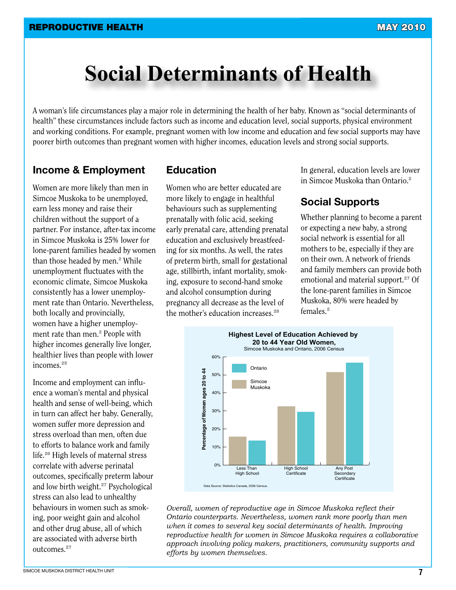### **Social Determinants of Health**

A woman's life circumstances play a major role in determining the health of her baby. Known as "social determinants of health" these circumstances include factors such as income and education level, social supports, physical environment and working conditions. For example, pregnant women with low income and education and few social supports may have poorer birth outcomes than pregnant women with higher incomes, education levels and strong social supports.

### **Income & Employment**

Women are more likely than men in Simcoe Muskoka to be unemployed, earn less money and raise their children without the support of a partner. For instance, after-tax income in Simcoe Muskoka is 25% lower for lone-parent families headed by women than those headed by men.<sup>2</sup> While unemployment fluctuates with the economic climate, Simcoe Muskoka consistently has a lower unemployment rate than Ontario. Nevertheless, both locally and provincially, women have a higher unemployment rate than men.<sup>2</sup> People with higher incomes generally live longer, healthier lives than people with lower incomes.<sup>25</sup>

Income and employment can influence a woman's mental and physical health and sense of well-being, which in turn can affect her baby. Generally, women suffer more depression and stress overload than men, often due to efforts to balance work and family life.<sup>26</sup> High levels of maternal stress correlate with adverse perinatal outcomes, specifically preterm labour and low birth weight.<sup>27</sup> Psychological stress can also lead to unhealthy behaviours in women such as smoking, poor weight gain and alcohol and other drug abuse, all of which are associated with adverse birth outcomes.<sup>27</sup>

### **Education**

Women who are better educated are more likely to engage in healthful behaviours such as supplementing prenatally with folic acid, seeking early prenatal care, attending prenatal education and exclusively breastfeeding for six months. As well, the rates of preterm birth, small for gestational age, stillbirth, infant mortality, smoking, exposure to second-hand smoke and alcohol consumption during pregnancy all decrease as the level of the mother's education increases.<sup>28</sup>

In general, education levels are lower in Simcoe Muskoka than Ontario.<sup>2</sup>

### **Social Supports**

Whether planning to become a parent or expecting a new baby, a strong social network is essential for all mothers to be, especially if they are on their own. A network of friends and family members can provide both emotional and material support.<sup>27</sup> Of the lone-parent families in Simcoe Muskoka, 80% were headed by females.<sup>2</sup>



*Overall, women of reproductive age in Simcoe Muskoka reflect their Ontario counterparts. Nevertheless, women rank more poorly than men when it comes to several key social determinants of health. Improving reproductive health for women in Simcoe Muskoka requires a collaborative approach involving policy makers, practitioners, community supports and efforts by women themselves.*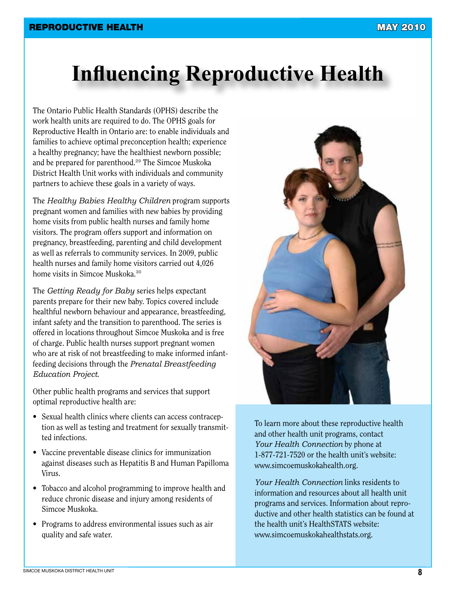## **Influencing Reproductive Health**

The Ontario Public Health Standards (OPHS) describe the work health units are required to do. The OPHS goals for Reproductive Health in Ontario are: to enable individuals and families to achieve optimal preconception health; experience a healthy pregnancy; have the healthiest newborn possible; and be prepared for parenthood.<sup>29</sup> The Simcoe Muskoka District Health Unit works with individuals and community partners to achieve these goals in a variety of ways.

The *Healthy Babies Healthy Children* program supports pregnant women and families with new babies by providing home visits from public health nurses and family home visitors. The program offers support and information on pregnancy, breastfeeding, parenting and child development as well as referrals to community services. In 2009, public health nurses and family home visitors carried out 4,026 home visits in Simcoe Muskoka.<sup>30</sup>

The *Getting Ready for Baby* series helps expectant parents prepare for their new baby. Topics covered include healthful newborn behaviour and appearance, breastfeeding, infant safety and the transition to parenthood. The series is offered in locations throughout Simcoe Muskoka and is free of charge. Public health nurses support pregnant women who are at risk of not breastfeeding to make informed infantfeeding decisions through the *Prenatal Breastfeeding Education Project*.

Other public health programs and services that support optimal reproductive health are:

- Sexual health clinics where clients can access contraception as well as testing and treatment for sexually transmitted infections.
- Vaccine preventable disease clinics for immunization against diseases such as Hepatitis B and Human Papilloma Virus.
- Tobacco and alcohol programming to improve health and reduce chronic disease and injury among residents of Simcoe Muskoka.
- Programs to address environmental issues such as air quality and safe water.



To learn more about these reproductive health and other health unit programs, contact *Your Health Connection* by phone at 1-877-721-7520 or the health unit's website: www.simcoemuskokahealth.org.

*Your Health Connection* links residents to information and resources about all health unit programs and services. Information about reproductive and other health statistics can be found at the health unit's HealthSTATS website: www.simcoemuskokahealthstats.org.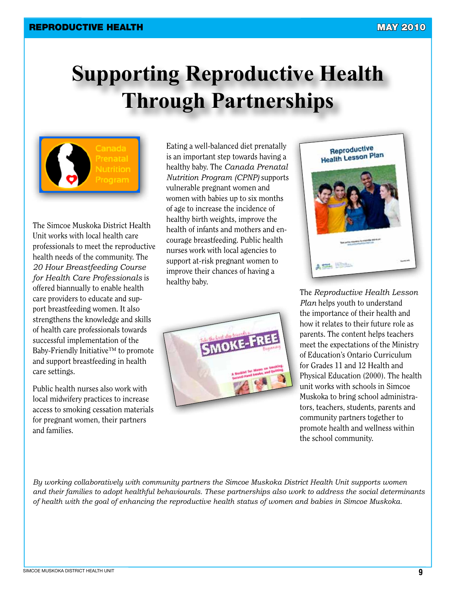# **Supporting Reproductive Health Through Partnerships**

The Simcoe Muskoka District Health Unit works with local health care professionals to meet the reproductive health needs of the community. The *20 Hour Breastfeeding Course for Health Care Professionals* is offered biannually to enable health care providers to educate and support breastfeeding women. It also strengthens the knowledge and skills of health care professionals towards successful implementation of the Baby-Friendly Initiative™ to promote and support breastfeeding in health care settings.

Public health nurses also work with local midwifery practices to increase access to smoking cessation materials for pregnant women, their partners and families.

Eating a well-balanced diet prenatally is an important step towards having a healthy baby. The *Canada Prenatal Nutrition Program (CPNP)* supports vulnerable pregnant women and women with babies up to six months of age to increase the incidence of healthy birth weights, improve the health of infants and mothers and encourage breastfeeding. Public health nurses work with local agencies to support at-risk pregnant women to improve their chances of having a healthy baby.





The *Reproductive Health Lesson Plan* helps youth to understand the importance of their health and how it relates to their future role as parents. The content helps teachers meet the expectations of the Ministry of Education's Ontario Curriculum for Grades 11 and 12 Health and Physical Education (2000). The health unit works with schools in Simcoe Muskoka to bring school administrators, teachers, students, parents and community partners together to promote health and wellness within the school community.

*By working collaboratively with community partners the Simcoe Muskoka District Health Unit supports women and their families to adopt healthful behaviourals. These partnerships also work to address the social determinants of health with the goal of enhancing the reproductive health status of women and babies in Simcoe Muskoka.*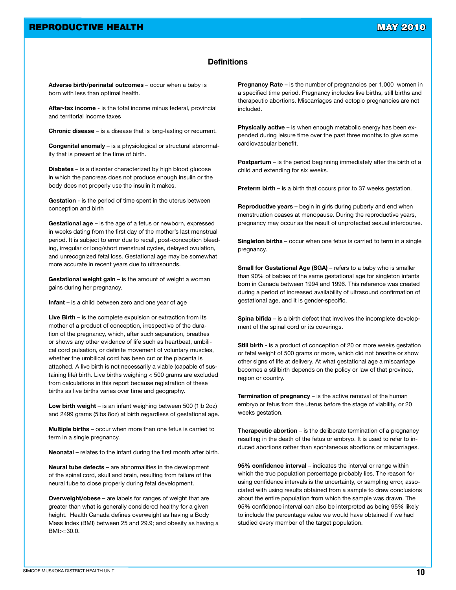#### **Definitions**

**Adverse birth/perinatal outcomes** – occur when a baby is born with less than optimal health.

**After-tax income** - is the total income minus federal, provincial and territorial income taxes

**Chronic disease** – is a disease that is long-lasting or recurrent.

**Congenital anomaly** – is a physiological or structural abnormality that is present at the time of birth.

**Diabetes** – is a disorder characterized by high blood glucose in which the pancreas does not produce enough insulin or the body does not properly use the insulin it makes.

**Gestation** - is the period of time spent in the uterus between conception and birth

**Gestational age** – is the age of a fetus or newborn, expressed in weeks dating from the first day of the mother's last menstrual period. It is subject to error due to recall, post-conception bleeding, irregular or long/short menstrual cycles, delayed ovulation, and unrecognized fetal loss. Gestational age may be somewhat more accurate in recent years due to ultrasounds.

**Gestational weight gain** – is the amount of weight a woman gains during her pregnancy.

**Infant** – is a child between zero and one year of age

**Live Birth** – is the complete expulsion or extraction from its mother of a product of conception, irrespective of the duration of the pregnancy, which, after such separation, breathes or shows any other evidence of life such as heartbeat, umbilical cord pulsation, or definite movement of voluntary muscles, whether the umbilical cord has been cut or the placenta is attached. A live birth is not necessarily a viable (capable of sustaining life) birth. Live births weighing < 500 grams are excluded from calculations in this report because registration of these births as live births varies over time and geography.

**Low birth weight** – is an infant weighing between 500 (1lb 2oz) and 2499 grams (5lbs 8oz) at birth regardless of gestational age.

**Multiple births** – occur when more than one fetus is carried to term in a single pregnancy.

**Neonatal** – relates to the infant during the first month after birth.

**Neural tube defects** – are abnormalities in the development of the spinal cord, skull and brain, resulting from failure of the neural tube to close properly during fetal development.

**Overweight/obese** – are labels for ranges of weight that are greater than what is generally considered healthy for a given height. Health Canada defines overweight as having a Body Mass Index (BMI) between 25 and 29.9; and obesity as having a BMI>=30.0.

**Pregnancy Rate** – is the number of pregnancies per 1,000 women in a specified time period. Pregnancy includes live births, still births and therapeutic abortions. Miscarriages and ectopic pregnancies are not included.

**Physically active** – is when enough metabolic energy has been expended during leisure time over the past three months to give some cardiovascular benefit.

**Postpartum** – is the period beginning immediately after the birth of a child and extending for six weeks.

**Preterm birth** – is a birth that occurs prior to 37 weeks gestation.

**Reproductive years** – begin in girls during puberty and end when menstruation ceases at menopause. During the reproductive years, pregnancy may occur as the result of unprotected sexual intercourse.

**Singleton births** – occur when one fetus is carried to term in a single pregnancy.

**Small for Gestational Age (SGA)** – refers to a baby who is smaller than 90% of babies of the same gestational age for singleton infants born in Canada between 1994 and 1996. This reference was created during a period of increased availability of ultrasound confirmation of gestational age, and it is gender-specific.

**Spina bifida** – is a birth defect that involves the incomplete development of the spinal cord or its coverings.

**Still birth** - is a product of conception of 20 or more weeks gestation or fetal weight of 500 grams or more, which did not breathe or show other signs of life at delivery. At what gestational age a miscarriage becomes a stillbirth depends on the policy or law of that province, region or country.

**Termination of pregnancy** – is the active removal of the human embryo or fetus from the uterus before the stage of viability, or 20 weeks gestation.

**Therapeutic abortion** – is the deliberate termination of a pregnancy resulting in the death of the fetus or embryo. It is used to refer to induced abortions rather than spontaneous abortions or miscarriages.

**95% confidence interval** – indicates the interval or range within which the true population percentage probably lies. The reason for using confidence intervals is the uncertainty, or sampling error, associated with using results obtained from a sample to draw conclusions about the entire population from which the sample was drawn. The 95% confidence interval can also be interpreted as being 95% likely to include the percentage value we would have obtained if we had studied every member of the target population.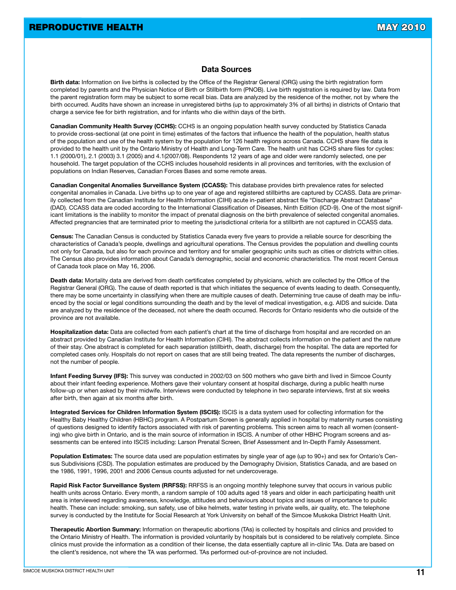#### **Data Sources**

**Birth data:** Information on live births is collected by the Office of the Registrar General (ORG) using the birth registration form completed by parents and the Physician Notice of Birth or Stillbirth form (PNOB). Live birth registration is required by law. Data from the parent registration form may be subject to some recall bias. Data are analyzed by the residence of the mother, not by where the birth occurred. Audits have shown an increase in unregistered births (up to approximately 3% of all births) in districts of Ontario that charge a service fee for birth registration, and for infants who die within days of the birth.

**Canadian Community Health Survey (CCHS):** CCHS is an ongoing population health survey conducted by Statistics Canada to provide cross-sectional (at one point in time) estimates of the factors that influence the health of the population, health status of the population and use of the health system by the population for 126 health regions across Canada. CCHS share file data is provided to the health unit by the Ontario Ministry of Health and Long-Term Care. The health unit has CCHS share files for cycles: 1.1 (2000/01), 2.1 (2003) 3.1 (2005) and 4.1(2007/08). Respondents 12 years of age and older were randomly selected, one per household. The target population of the CCHS includes household residents in all provinces and territories, with the exclusion of populations on Indian Reserves, Canadian Forces Bases and some remote areas.

**Canadian Congenital Anomalies Surveillance System (CCASS):** This database provides birth prevalence rates for selected congenital anomalies in Canada. Live births up to one year of age and registered stillbirths are captured by CCASS. Data are primarily collected from the Canadian Institute for Health Information (CIHI) acute in-patient abstract file "Discharge Abstract Database" (DAD). CCASS data are coded according to the International Classification of Diseases, Ninth Edition (ICD-9). One of the most significant limitations is the inability to monitor the impact of prenatal diagnosis on the birth prevalence of selected congenital anomalies. Affected pregnancies that are terminated prior to meeting the jurisdictional criteria for a stillbirth are not captured in CCASS data.

**Census:** The Canadian Census is conducted by Statistics Canada every five years to provide a reliable source for describing the characteristics of Canada's people, dwellings and agricultural operations. The Census provides the population and dwelling counts not only for Canada, but also for each province and territory and for smaller geographic units such as cities or districts within cities. The Census also provides information about Canada's demographic, social and economic characteristics. The most recent Census of Canada took place on May 16, 2006.

**Death data:** Mortality data are derived from death certificates completed by physicians, which are collected by the Office of the Registrar General (ORG). The cause of death reported is that which initiates the sequence of events leading to death. Consequently, there may be some uncertainty in classifying when there are multiple causes of death. Determining true cause of death may be influenced by the social or legal conditions surrounding the death and by the level of medical investigation, e.g. AIDS and suicide. Data are analyzed by the residence of the deceased, not where the death occurred. Records for Ontario residents who die outside of the province are not available.

**Hospitalization data:** Data are collected from each patient's chart at the time of discharge from hospital and are recorded on an abstract provided by Canadian Institute for Health Information (CIHI). The abstract collects information on the patient and the nature of their stay. One abstract is completed for each separation (stillbirth, death, discharge) from the hospital. The data are reported for completed cases only. Hospitals do not report on cases that are still being treated. The data represents the number of discharges, not the number of people.

**Infant Feeding Survey (IFS):** This survey was conducted in 2002/03 on 500 mothers who gave birth and lived in Simcoe County about their infant feeding experience. Mothers gave their voluntary consent at hospital discharge, during a public health nurse follow-up or when asked by their midwife. Interviews were conducted by telephone in two separate interviews, first at six weeks after birth, then again at six months after birth.

**Integrated Services for Children Information System (ISCIS):** ISCIS is a data system used for collecting information for the Healthy Baby Healthy Children (HBHC) program. A Postpartum Screen is generally applied in hospital by maternity nurses consisting of questions designed to identify factors associated with risk of parenting problems. This screen aims to reach all women (consenting) who give birth in Ontario, and is the main source of information in ISCIS. A number of other HBHC Program screens and assessments can be entered into ISCIS including: Larson Prenatal Screen, Brief Assessment and In-Depth Family Assessment.

**Population Estimates:** The source data used are population estimates by single year of age (up to 90+) and sex for Ontario's Census Subdivisions (CSD). The population estimates are produced by the Demography Division, Statistics Canada, and are based on the 1986, 1991, 1996, 2001 and 2006 Census counts adjusted for net undercoverage.

**Rapid Risk Factor Surveillance System (RRFSS):** RRFSS is an ongoing monthly telephone survey that occurs in various public health units across Ontario. Every month, a random sample of 100 adults aged 18 years and older in each participating health unit area is interviewed regarding awareness, knowledge, attitudes and behaviours about topics and issues of importance to public health. These can include: smoking, sun safety, use of bike helmets, water testing in private wells, air quality, etc. The telephone survey is conducted by the Institute for Social Research at York University on behalf of the Simcoe Muskoka District Health Unit.

**Therapeutic Abortion Summary:** Information on therapeutic abortions (TAs) is collected by hospitals and clinics and provided to the Ontario Ministry of Health. The information is provided voluntarily by hospitals but is considered to be relatively complete. Since clinics must provide the information as a condition of their license, the data essentially capture all in-clinic TAs. Data are based on the client's residence, not where the TA was performed. TAs performed out-of-province are not included.